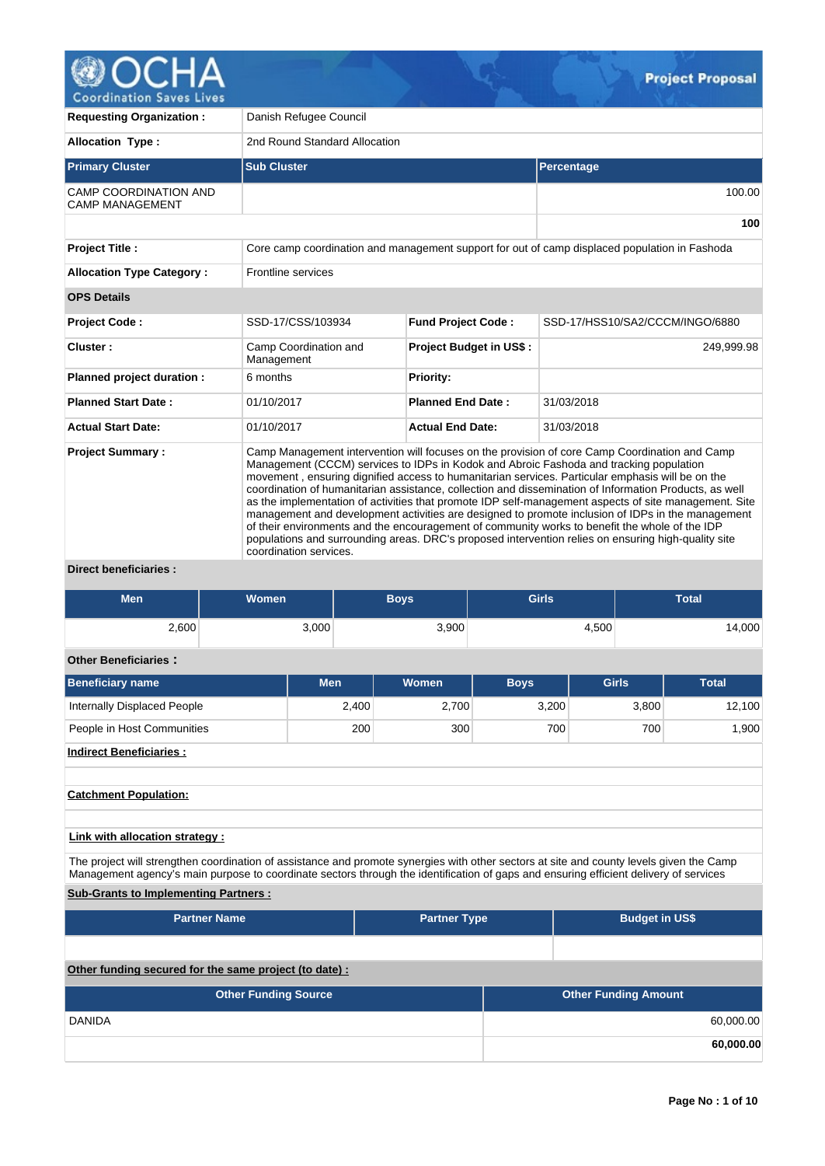

**Requesting Organization : Danish Refugee Council Allocation Type :** 2nd Round Standard Allocation **Primary Cluster Sub Cluster Sub Cluster** Sub Cluster Sub Cluster Sub Cluster Sub Cluster Sub Cluster Sub Cluster CAMP COORDINATION AND CAMP MANAGEMENT 100.00 **100 Project Title :** Core camp coordination and management support for out of camp displaced population in Fashoda **Allocation Type Category :** Frontline services **OPS Details Project Code :** SSD-17/CSS/103934 **Fund Project Code :** SSD-17/HSS10/SA2/CCCM/INGO/6880 **Cluster :** Camp Coordination and Management **Project Budget in US\$ :** 249,999.98 **Planned project duration :** 6 months **Planned Priority: Planned Start Date :** 01/10/2017 **Planned End Date :** 31/03/2018 **Actual Start Date:** 01/10/2017 **Actual End Date:** 31/03/2018 **Project Summary :** Camp Management intervention will focuses on the provision of core Camp Coordination and Camp Management (CCCM) services to IDPs in Kodok and Abroic Fashoda and tracking population movement , ensuring dignified access to humanitarian services. Particular emphasis will be on the coordination of humanitarian assistance, collection and dissemination of Information Products, as well as the implementation of activities that promote IDP self-management aspects of site management. Site management and development activities are designed to promote inclusion of IDPs in the management of their environments and the encouragement of community works to benefit the whole of the IDP populations and surrounding areas. DRC's proposed intervention relies on ensuring high-quality site coordination services.

**Direct beneficiaries :**

| <b>Men</b> | Women | <b>Boys</b> | <b>Girls</b> | Total |
|------------|-------|-------------|--------------|-------|
| 2,600      | 3,000 | 3,900       | 4,500        | ,000  |

# **Other Beneficiaries :**

| <b>Beneficiary name</b>        | <b>Men</b> | <b>Women</b> | <b>Boys</b> | Girls | <b>Total</b> |
|--------------------------------|------------|--------------|-------------|-------|--------------|
| Internally Displaced People    | 2,400      | 2,700        | 3,200       | 3,800 | 12,100       |
| People in Host Communities     | 200        | 300          | 700         | 700   | 1,900        |
| <b>Indirect Beneficiaries:</b> |            |              |             |       |              |

**Catchment Population:**

**Link with allocation strategy :**

The project will strengthen coordination of assistance and promote synergies with other sectors at site and county levels given the Camp Management agency's main purpose to coordinate sectors through the identification of gaps and ensuring efficient delivery of services

# **Sub-Grants to Implementing Partners :**

| <b>Partner Name</b>                                   | <b>Partner Type</b> | <b>Budget in US\$</b> |
|-------------------------------------------------------|---------------------|-----------------------|
|                                                       |                     |                       |
| Other funding secured for the same project (to date): |                     |                       |

| <b>Other Funding Source</b> | <b>Other Funding Amount</b> |
|-----------------------------|-----------------------------|
| <b>DANIDA</b>               | 60,000.00                   |
|                             | 60,000.00                   |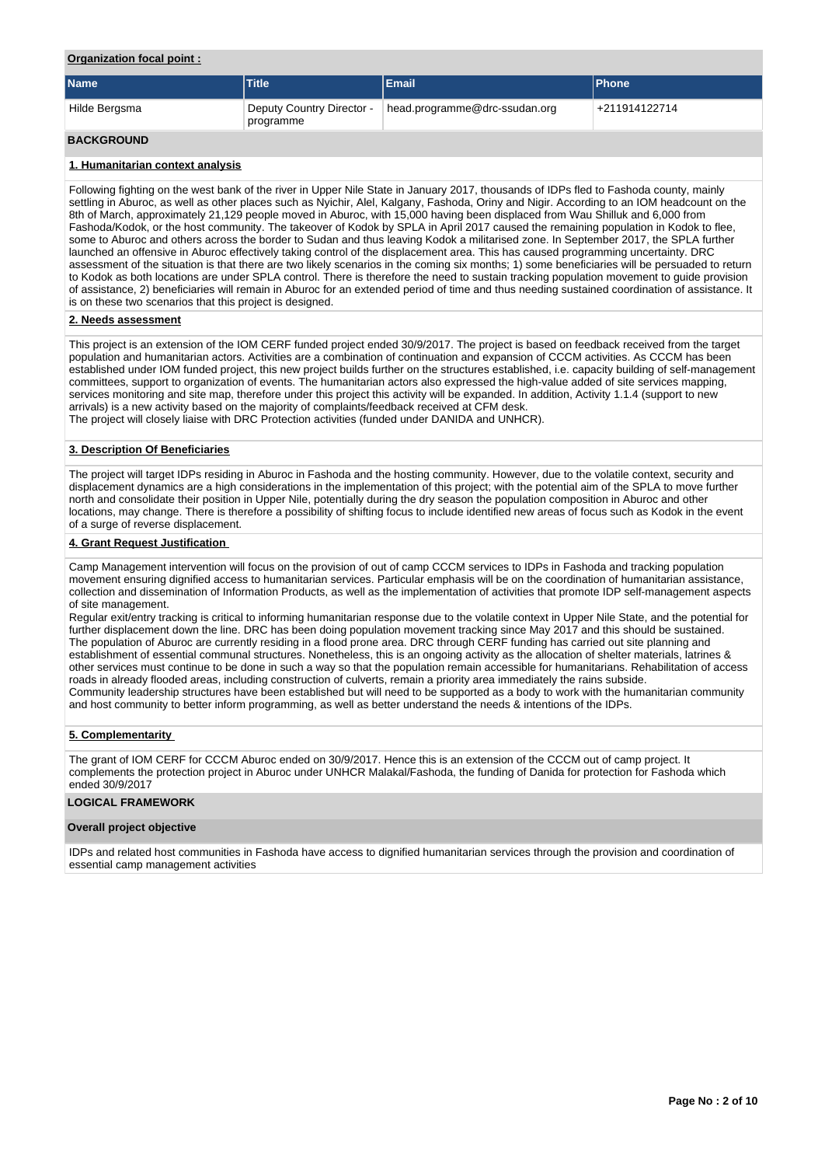## **Organization focal point :**

| <b>Name</b>       | Title                                  | <b>IEmail</b>                 | <b>IPhone</b> |
|-------------------|----------------------------------------|-------------------------------|---------------|
| Hilde Bergsma     | Deputy Country Director -<br>programme | head.programme@drc-ssudan.org | +211914122714 |
| <b>BACKGROUND</b> |                                        |                               |               |

### **1. Humanitarian context analysis**

Following fighting on the west bank of the river in Upper Nile State in January 2017, thousands of IDPs fled to Fashoda county, mainly settling in Aburoc, as well as other places such as Nyichir, Alel, Kalgany, Fashoda, Oriny and Nigir. According to an IOM headcount on the 8th of March, approximately 21,129 people moved in Aburoc, with 15,000 having been displaced from Wau Shilluk and 6,000 from Fashoda/Kodok, or the host community. The takeover of Kodok by SPLA in April 2017 caused the remaining population in Kodok to flee, some to Aburoc and others across the border to Sudan and thus leaving Kodok a militarised zone. In September 2017, the SPLA further launched an offensive in Aburoc effectively taking control of the displacement area. This has caused programming uncertainty. DRC assessment of the situation is that there are two likely scenarios in the coming six months; 1) some beneficiaries will be persuaded to return to Kodok as both locations are under SPLA control. There is therefore the need to sustain tracking population movement to guide provision of assistance, 2) beneficiaries will remain in Aburoc for an extended period of time and thus needing sustained coordination of assistance. It is on these two scenarios that this project is designed.

### **2. Needs assessment**

This project is an extension of the IOM CERF funded project ended 30/9/2017. The project is based on feedback received from the target population and humanitarian actors. Activities are a combination of continuation and expansion of CCCM activities. As CCCM has been established under IOM funded project, this new project builds further on the structures established, i.e. capacity building of self-management committees, support to organization of events. The humanitarian actors also expressed the high-value added of site services mapping, services monitoring and site map, therefore under this project this activity will be expanded. In addition, Activity 1.1.4 (support to new arrivals) is a new activity based on the majority of complaints/feedback received at CFM desk. The project will closely liaise with DRC Protection activities (funded under DANIDA and UNHCR).

### **3. Description Of Beneficiaries**

The project will target IDPs residing in Aburoc in Fashoda and the hosting community. However, due to the volatile context, security and displacement dynamics are a high considerations in the implementation of this project; with the potential aim of the SPLA to move further north and consolidate their position in Upper Nile, potentially during the dry season the population composition in Aburoc and other locations, may change. There is therefore a possibility of shifting focus to include identified new areas of focus such as Kodok in the event of a surge of reverse displacement.

### **4. Grant Request Justification**

Camp Management intervention will focus on the provision of out of camp CCCM services to IDPs in Fashoda and tracking population movement ensuring dignified access to humanitarian services. Particular emphasis will be on the coordination of humanitarian assistance, collection and dissemination of Information Products, as well as the implementation of activities that promote IDP self-management aspects of site management.

Regular exit/entry tracking is critical to informing humanitarian response due to the volatile context in Upper Nile State, and the potential for further displacement down the line. DRC has been doing population movement tracking since May 2017 and this should be sustained. The population of Aburoc are currently residing in a flood prone area. DRC through CERF funding has carried out site planning and establishment of essential communal structures. Nonetheless, this is an ongoing activity as the allocation of shelter materials, latrines & other services must continue to be done in such a way so that the population remain accessible for humanitarians. Rehabilitation of access roads in already flooded areas, including construction of culverts, remain a priority area immediately the rains subside. Community leadership structures have been established but will need to be supported as a body to work with the humanitarian community and host community to better inform programming, as well as better understand the needs & intentions of the IDPs.

### **5. Complementarity**

The grant of IOM CERF for CCCM Aburoc ended on 30/9/2017. Hence this is an extension of the CCCM out of camp project. It complements the protection project in Aburoc under UNHCR Malakal/Fashoda, the funding of Danida for protection for Fashoda which ended 30/9/2017

### **LOGICAL FRAMEWORK**

### **Overall project objective**

IDPs and related host communities in Fashoda have access to dignified humanitarian services through the provision and coordination of essential camp management activities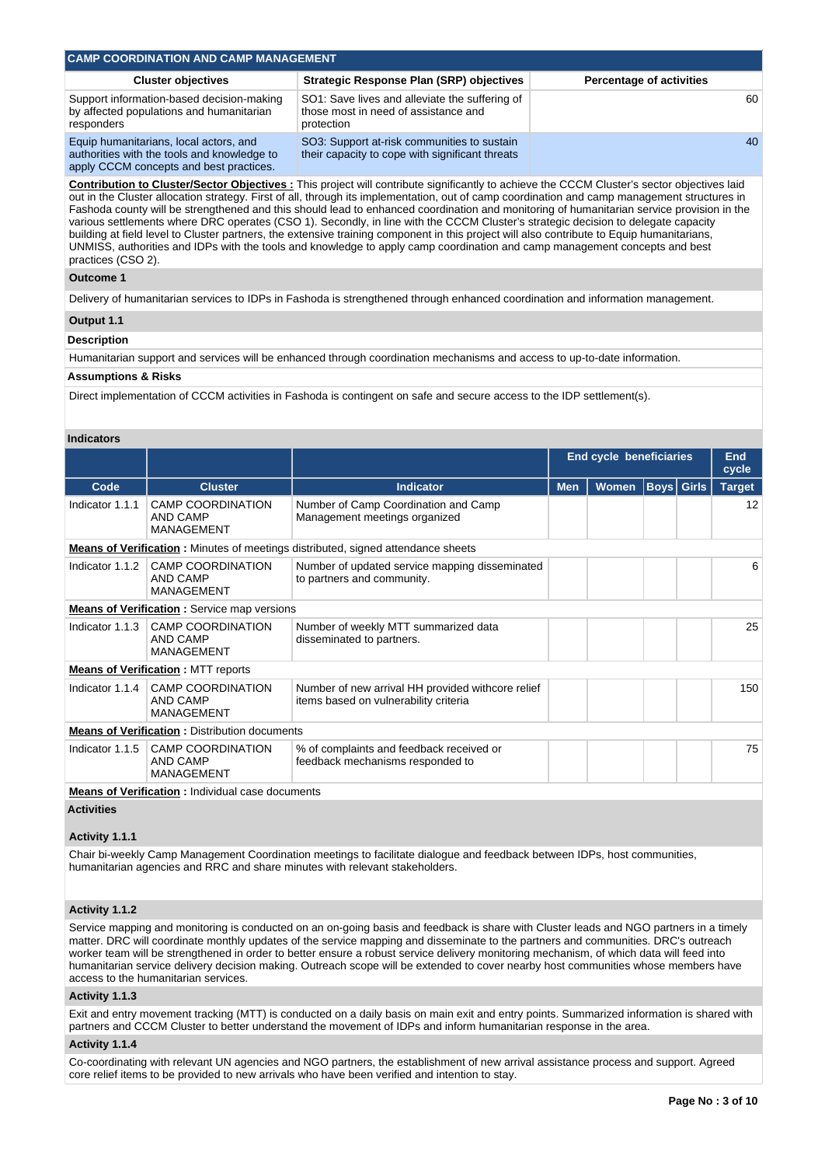| <b>CAMP COORDINATION AND CAMP MANAGEMENT</b>                                                        |                                                                                                      |                                 |  |  |  |  |  |  |  |
|-----------------------------------------------------------------------------------------------------|------------------------------------------------------------------------------------------------------|---------------------------------|--|--|--|--|--|--|--|
| <b>Cluster objectives</b>                                                                           | <b>Strategic Response Plan (SRP) objectives</b>                                                      | <b>Percentage of activities</b> |  |  |  |  |  |  |  |
| Support information-based decision-making<br>by affected populations and humanitarian<br>responders | SO1: Save lives and alleviate the suffering of<br>those most in need of assistance and<br>protection | 60                              |  |  |  |  |  |  |  |
| Equip humanitarians, local actors, and<br>authorities with the tools and knowledge to               | SO3: Support at risk communities to sustain<br>their capacity to cope with significant threats       | 40                              |  |  |  |  |  |  |  |

**Contribution to Cluster/Sector Objectives :** This project will contribute significantly to achieve the CCCM Cluster's sector objectives laid out in the Cluster allocation strategy. First of all, through its implementation, out of camp coordination and camp management structures in Fashoda county will be strengthened and this should lead to enhanced coordination and monitoring of humanitarian service provision in the various settlements where DRC operates (CSO 1). Secondly, in line with the CCCM Cluster's strategic decision to delegate capacity building at field level to Cluster partners, the extensive training component in this project will also contribute to Equip humanitarians, UNMISS, authorities and IDPs with the tools and knowledge to apply camp coordination and camp management concepts and best practices (CSO 2).

### **Outcome 1**

Delivery of humanitarian services to IDPs in Fashoda is strengthened through enhanced coordination and information management.

# **Output 1.1**

# **Description**

Humanitarian support and services will be enhanced through coordination mechanisms and access to up-to-date information.

#### **Assumptions & Risks**

apply CCCM concepts and best practices.

Direct implementation of CCCM activities in Fashoda is contingent on safe and secure access to the IDP settlement(s).

#### **Indicators**

|                 |                                                           |                                                                                            | <b>End cycle beneficiaries</b> |                                   | <b>End</b><br>cycle |  |               |
|-----------------|-----------------------------------------------------------|--------------------------------------------------------------------------------------------|--------------------------------|-----------------------------------|---------------------|--|---------------|
| Code            | <b>Cluster</b>                                            | <b>Indicator</b>                                                                           | <b>Men</b>                     | <b>Boys</b> Girls<br><b>Women</b> |                     |  | <b>Target</b> |
| Indicator 1.1.1 | <b>CAMP COORDINATION</b><br>AND CAMP<br><b>MANAGEMENT</b> | Number of Camp Coordination and Camp<br>Management meetings organized                      |                                |                                   |                     |  | 12            |
|                 |                                                           | <b>Means of Verification:</b> Minutes of meetings distributed, signed attendance sheets    |                                |                                   |                     |  |               |
| Indicator 1.1.2 | <b>CAMP COORDINATION</b><br>AND CAMP<br><b>MANAGEMENT</b> | Number of updated service mapping disseminated<br>to partners and community.               |                                |                                   |                     |  | 6             |
|                 | <b>Means of Verification:</b> Service map versions        |                                                                                            |                                |                                   |                     |  |               |
| Indicator 1.1.3 | <b>CAMP COORDINATION</b><br>AND CAMP<br>MANAGEMENT        | Number of weekly MTT summarized data<br>disseminated to partners.                          |                                |                                   |                     |  | 25            |
|                 | <b>Means of Verification: MTT reports</b>                 |                                                                                            |                                |                                   |                     |  |               |
| Indicator 1.1.4 | <b>CAMP COORDINATION</b><br>AND CAMP<br>MANAGEMENT        | Number of new arrival HH provided withcore relief<br>items based on vulnerability criteria |                                |                                   |                     |  | 150           |
|                 | <b>Means of Verification:</b> Distribution documents      |                                                                                            |                                |                                   |                     |  |               |
| Indicator 1.1.5 | <b>CAMP COORDINATION</b><br>AND CAMP<br><b>MANAGEMENT</b> | % of complaints and feedback received or<br>feedback mechanisms responded to               |                                |                                   |                     |  | 75            |
|                 | Moone of Verification , Individual case decuments         |                                                                                            |                                |                                   |                     |  |               |

**Means of Verification :** Individual case documents

# **Activities**

# **Activity 1.1.1**

Chair bi-weekly Camp Management Coordination meetings to facilitate dialogue and feedback between IDPs, host communities, humanitarian agencies and RRC and share minutes with relevant stakeholders.

# **Activity 1.1.2**

Service mapping and monitoring is conducted on an on-going basis and feedback is share with Cluster leads and NGO partners in a timely matter. DRC will coordinate monthly updates of the service mapping and disseminate to the partners and communities. DRC's outreach worker team will be strengthened in order to better ensure a robust service delivery monitoring mechanism, of which data will feed into humanitarian service delivery decision making. Outreach scope will be extended to cover nearby host communities whose members have access to the humanitarian services.

# **Activity 1.1.3**

Exit and entry movement tracking (MTT) is conducted on a daily basis on main exit and entry points. Summarized information is shared with partners and CCCM Cluster to better understand the movement of IDPs and inform humanitarian response in the area.

# **Activity 1.1.4**

Co-coordinating with relevant UN agencies and NGO partners, the establishment of new arrival assistance process and support. Agreed core relief items to be provided to new arrivals who have been verified and intention to stay.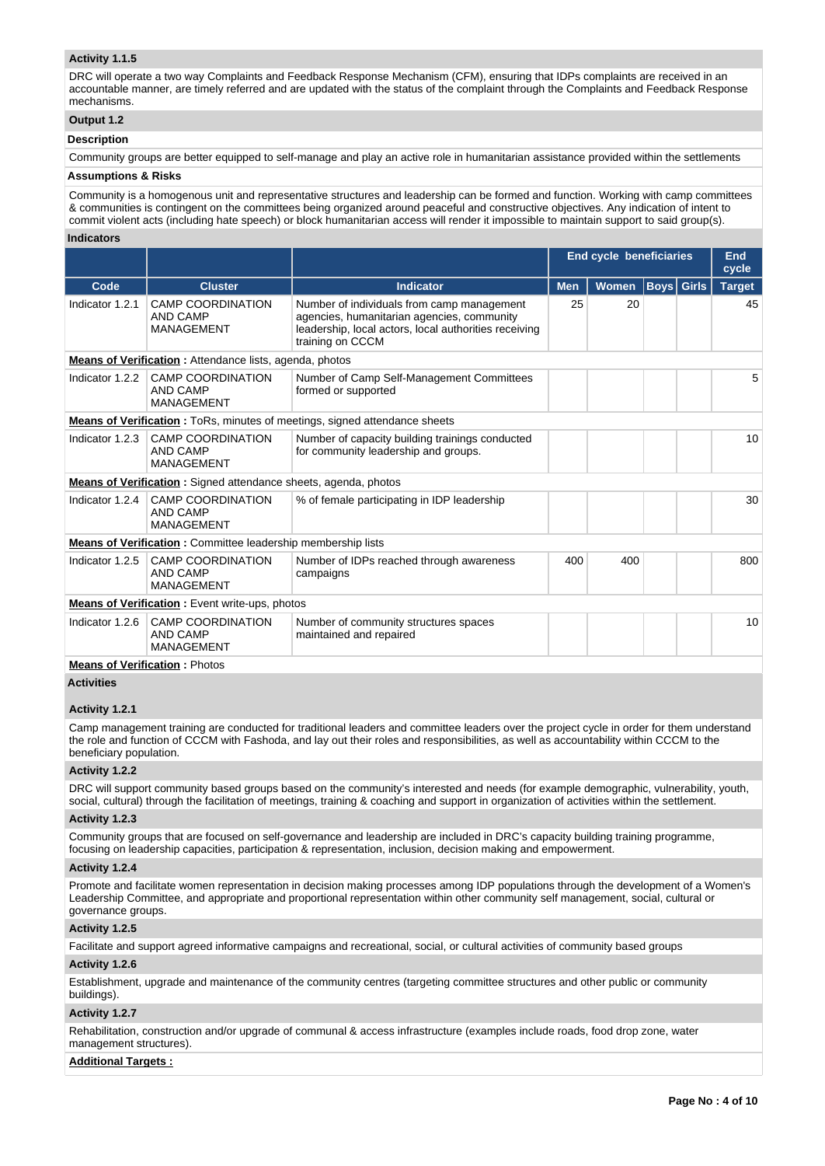# **Activity 1.1.5**

DRC will operate a two way Complaints and Feedback Response Mechanism (CFM), ensuring that IDPs complaints are received in an accountable manner, are timely referred and are updated with the status of the complaint through the Complaints and Feedback Response mechanisms.

# **Output 1.2**

### **Description**

Community groups are better equipped to self-manage and play an active role in humanitarian assistance provided within the settlements

# **Assumptions & Risks**

Community is a homogenous unit and representative structures and leadership can be formed and function. Working with camp committees & communities is contingent on the committees being organized around peaceful and constructive objectives. Any indication of intent to commit violent acts (including hate speech) or block humanitarian access will render it impossible to maintain support to said group(s).

#### **Indicators**

|                 |                                                                     |                                                                                                                                                                       |                            | <b>End cycle beneficiaries</b> |  |  | End<br>cycle      |  |               |  |
|-----------------|---------------------------------------------------------------------|-----------------------------------------------------------------------------------------------------------------------------------------------------------------------|----------------------------|--------------------------------|--|--|-------------------|--|---------------|--|
| Code            | <b>Indicator</b><br><b>Cluster</b>                                  |                                                                                                                                                                       | <b>Men</b><br><b>Women</b> |                                |  |  | <b>Boys Girls</b> |  | <b>Target</b> |  |
| Indicator 1.2.1 | <b>CAMP COORDINATION</b><br><b>AND CAMP</b><br><b>MANAGEMENT</b>    | Number of individuals from camp management<br>agencies, humanitarian agencies, community<br>leadership, local actors, local authorities receiving<br>training on CCCM | 25<br>20                   |                                |  |  | 45                |  |               |  |
|                 | Means of Verification: Attendance lists, agenda, photos             |                                                                                                                                                                       |                            |                                |  |  |                   |  |               |  |
| Indicator 1.2.2 | <b>CAMP COORDINATION</b><br><b>AND CAMP</b><br><b>MANAGEMENT</b>    | Number of Camp Self-Management Committees<br>formed or supported                                                                                                      |                            |                                |  |  | 5                 |  |               |  |
|                 |                                                                     | <b>Means of Verification:</b> ToRs, minutes of meetings, signed attendance sheets                                                                                     |                            |                                |  |  |                   |  |               |  |
| Indicator 1.2.3 | <b>CAMP COORDINATION</b><br><b>AND CAMP</b><br><b>MANAGEMENT</b>    | Number of capacity building trainings conducted<br>for community leadership and groups.                                                                               |                            |                                |  |  | 10                |  |               |  |
|                 | Means of Verification: Signed attendance sheets, agenda, photos     |                                                                                                                                                                       |                            |                                |  |  |                   |  |               |  |
| Indicator 1.2.4 | <b>CAMP COORDINATION</b><br><b>AND CAMP</b><br><b>MANAGEMENT</b>    | % of female participating in IDP leadership                                                                                                                           |                            |                                |  |  | 30                |  |               |  |
|                 | <b>Means of Verification:</b> Committee leadership membership lists |                                                                                                                                                                       |                            |                                |  |  |                   |  |               |  |
| Indicator 1.2.5 | <b>CAMP COORDINATION</b><br><b>AND CAMP</b><br><b>MANAGEMENT</b>    | Number of IDPs reached through awareness<br>campaigns                                                                                                                 | 400                        | 400                            |  |  | 800               |  |               |  |
|                 | <b>Means of Verification:</b> Event write-ups, photos               |                                                                                                                                                                       |                            |                                |  |  |                   |  |               |  |
| Indicator 1.2.6 | <b>CAMP COORDINATION</b><br><b>AND CAMP</b><br><b>MANAGEMENT</b>    | Number of community structures spaces<br>maintained and repaired                                                                                                      |                            |                                |  |  | 10                |  |               |  |
|                 | <b>Means of Verification: Photos</b>                                |                                                                                                                                                                       |                            |                                |  |  |                   |  |               |  |

**Activities**

### **Activity 1.2.1**

Camp management training are conducted for traditional leaders and committee leaders over the project cycle in order for them understand the role and function of CCCM with Fashoda, and lay out their roles and responsibilities, as well as accountability within CCCM to the beneficiary population.

### **Activity 1.2.2**

DRC will support community based groups based on the community's interested and needs (for example demographic, vulnerability, youth, social, cultural) through the facilitation of meetings, training & coaching and support in organization of activities within the settlement.

#### **Activity 1.2.3**

Community groups that are focused on self-governance and leadership are included in DRC's capacity building training programme, focusing on leadership capacities, participation & representation, inclusion, decision making and empowerment.

#### **Activity 1.2.4**

Promote and facilitate women representation in decision making processes among IDP populations through the development of a Women's Leadership Committee, and appropriate and proportional representation within other community self management, social, cultural or governance groups.

### **Activity 1.2.5**

Facilitate and support agreed informative campaigns and recreational, social, or cultural activities of community based groups

#### **Activity 1.2.6**

Establishment, upgrade and maintenance of the community centres (targeting committee structures and other public or community buildings).

### **Activity 1.2.7**

Rehabilitation, construction and/or upgrade of communal & access infrastructure (examples include roads, food drop zone, water management structures).

#### **Additional Targets :**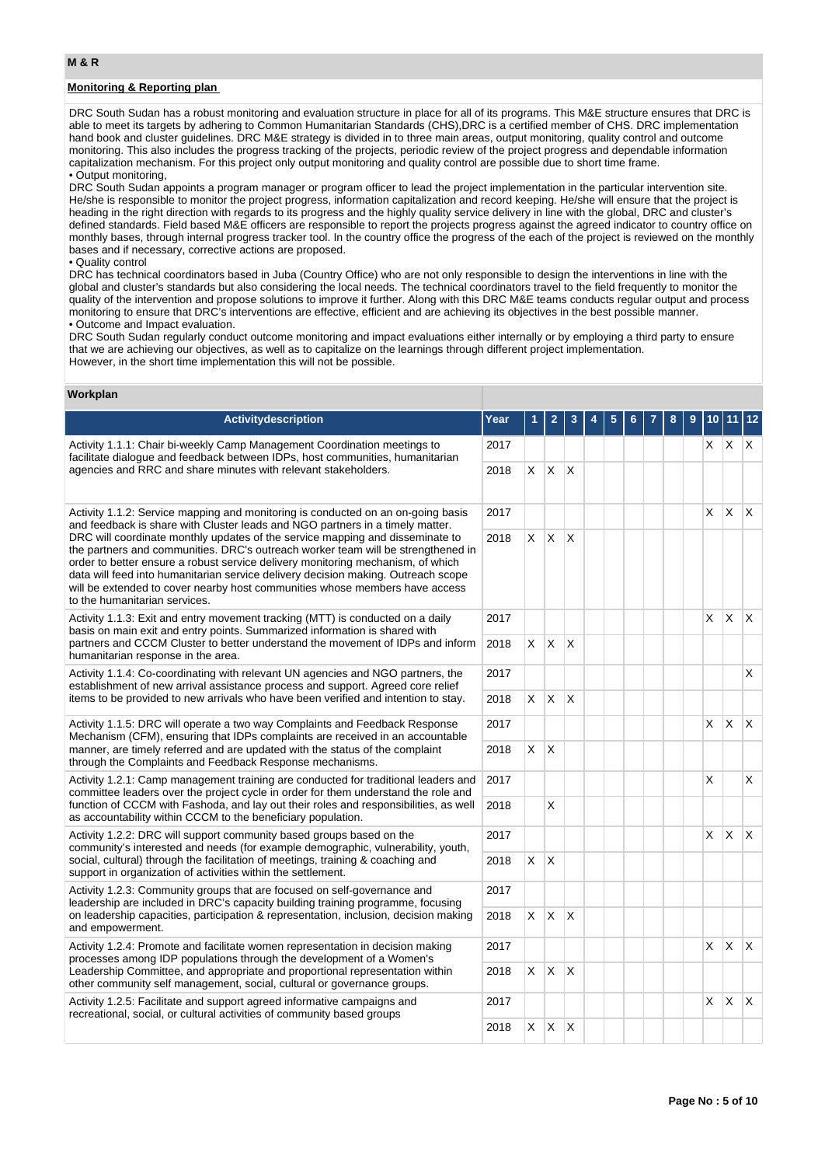# **Monitoring & Reporting plan**

DRC South Sudan has a robust monitoring and evaluation structure in place for all of its programs. This M&E structure ensures that DRC is able to meet its targets by adhering to Common Humanitarian Standards (CHS),DRC is a certified member of CHS. DRC implementation hand book and cluster guidelines. DRC M&E strategy is divided in to three main areas, output monitoring, quality control and outcome monitoring. This also includes the progress tracking of the projects, periodic review of the project progress and dependable information capitalization mechanism. For this project only output monitoring and quality control are possible due to short time frame. • Output monitoring,

DRC South Sudan appoints a program manager or program officer to lead the project implementation in the particular intervention site. He/she is responsible to monitor the project progress, information capitalization and record keeping. He/she will ensure that the project is heading in the right direction with regards to its progress and the highly quality service delivery in line with the global, DRC and cluster's defined standards. Field based M&E officers are responsible to report the projects progress against the agreed indicator to country office on monthly bases, through internal progress tracker tool. In the country office the progress of the each of the project is reviewed on the monthly bases and if necessary, corrective actions are proposed.

#### • Quality control

DRC has technical coordinators based in Juba (Country Office) who are not only responsible to design the interventions in line with the global and cluster's standards but also considering the local needs. The technical coordinators travel to the field frequently to monitor the quality of the intervention and propose solutions to improve it further. Along with this DRC M&E teams conducts regular output and process monitoring to ensure that DRC's interventions are effective, efficient and are achieving its objectives in the best possible manner. • Outcome and Impact evaluation.

DRC South Sudan regularly conduct outcome monitoring and impact evaluations either internally or by employing a third party to ensure that we are achieving our objectives, as well as to capitalize on the learnings through different project implementation. However, in the short time implementation this will not be possible.

#### **Workplan**

| <b>Activitydescription</b>                                                                                                                                                                                                                                                                                                                                                                                                                                                                                                                                                                                                                     | Year | 1            | 2            | 3                       |  |  | 8 | 9 | 10 | -11          | 12                      |
|------------------------------------------------------------------------------------------------------------------------------------------------------------------------------------------------------------------------------------------------------------------------------------------------------------------------------------------------------------------------------------------------------------------------------------------------------------------------------------------------------------------------------------------------------------------------------------------------------------------------------------------------|------|--------------|--------------|-------------------------|--|--|---|---|----|--------------|-------------------------|
| Activity 1.1.1: Chair bi-weekly Camp Management Coordination meetings to<br>2017<br>facilitate dialogue and feedback between IDPs, host communities, humanitarian<br>agencies and RRC and share minutes with relevant stakeholders.<br>2018                                                                                                                                                                                                                                                                                                                                                                                                    |      |              |              |                         |  |  |   |   | X. | $ X $ $X$    |                         |
|                                                                                                                                                                                                                                                                                                                                                                                                                                                                                                                                                                                                                                                |      | X            | X.           | ΙX                      |  |  |   |   |    |              |                         |
| Activity 1.1.2: Service mapping and monitoring is conducted on an on-going basis<br>2017<br>and feedback is share with Cluster leads and NGO partners in a timely matter.<br>DRC will coordinate monthly updates of the service mapping and disseminate to<br>2018<br>the partners and communities. DRC's outreach worker team will be strengthened in<br>order to better ensure a robust service delivery monitoring mechanism, of which<br>data will feed into humanitarian service delivery decision making. Outreach scope<br>will be extended to cover nearby host communities whose members have access<br>to the humanitarian services. |      |              |              |                         |  |  |   |   | X  | X            | $\mathsf{X}$            |
|                                                                                                                                                                                                                                                                                                                                                                                                                                                                                                                                                                                                                                                |      | X            | X.           | X                       |  |  |   |   |    |              |                         |
| Activity 1.1.3: Exit and entry movement tracking (MTT) is conducted on a daily<br>basis on main exit and entry points. Summarized information is shared with                                                                                                                                                                                                                                                                                                                                                                                                                                                                                   | 2017 |              |              |                         |  |  |   |   | X  | $\mathsf{X}$ | ΙX.                     |
| partners and CCCM Cluster to better understand the movement of IDPs and inform<br>humanitarian response in the area.                                                                                                                                                                                                                                                                                                                                                                                                                                                                                                                           |      | X.           | $\mathsf{X}$ | $\mathsf{X}$            |  |  |   |   |    |              |                         |
| Activity 1.1.4: Co-coordinating with relevant UN agencies and NGO partners, the<br>establishment of new arrival assistance process and support. Agreed core relief<br>items to be provided to new arrivals who have been verified and intention to stay.                                                                                                                                                                                                                                                                                                                                                                                       |      |              |              |                         |  |  |   |   |    |              | X                       |
|                                                                                                                                                                                                                                                                                                                                                                                                                                                                                                                                                                                                                                                |      | X            | ΙX.          | $\mathsf{I} \mathsf{X}$ |  |  |   |   |    |              |                         |
| Activity 1.1.5: DRC will operate a two way Complaints and Feedback Response<br>Mechanism (CFM), ensuring that IDPs complaints are received in an accountable                                                                                                                                                                                                                                                                                                                                                                                                                                                                                   |      |              |              |                         |  |  |   |   | X. | ΙX.          | $\mathsf{I} \mathsf{X}$ |
| manner, are timely referred and are updated with the status of the complaint<br>through the Complaints and Feedback Response mechanisms.                                                                                                                                                                                                                                                                                                                                                                                                                                                                                                       | 2018 | X            | ΙX.          |                         |  |  |   |   |    |              |                         |
| Activity 1.2.1: Camp management training are conducted for traditional leaders and<br>committee leaders over the project cycle in order for them understand the role and                                                                                                                                                                                                                                                                                                                                                                                                                                                                       | 2017 |              |              |                         |  |  |   |   | X  |              | X                       |
| function of CCCM with Fashoda, and lay out their roles and responsibilities, as well<br>as accountability within CCCM to the beneficiary population.                                                                                                                                                                                                                                                                                                                                                                                                                                                                                           | 2018 |              | X            |                         |  |  |   |   |    |              |                         |
| Activity 1.2.2: DRC will support community based groups based on the<br>community's interested and needs (for example demographic, vulnerability, youth,                                                                                                                                                                                                                                                                                                                                                                                                                                                                                       | 2017 |              |              |                         |  |  |   |   | X. | X            | ΙX.                     |
| social, cultural) through the facilitation of meetings, training & coaching and<br>support in organization of activities within the settlement.                                                                                                                                                                                                                                                                                                                                                                                                                                                                                                | 2018 | X            | X            |                         |  |  |   |   |    |              |                         |
| Activity 1.2.3: Community groups that are focused on self-governance and<br>leadership are included in DRC's capacity building training programme, focusing                                                                                                                                                                                                                                                                                                                                                                                                                                                                                    | 2017 |              |              |                         |  |  |   |   |    |              |                         |
| on leadership capacities, participation & representation, inclusion, decision making<br>and empowerment.                                                                                                                                                                                                                                                                                                                                                                                                                                                                                                                                       |      | X            | ΙX.          | $\mathsf{X}$            |  |  |   |   |    |              |                         |
| Activity 1.2.4: Promote and facilitate women representation in decision making<br>processes among IDP populations through the development of a Women's                                                                                                                                                                                                                                                                                                                                                                                                                                                                                         | 2017 |              |              |                         |  |  |   |   | X. | $\times$     | $\mathsf{X}$            |
| Leadership Committee, and appropriate and proportional representation within<br>2018<br>other community self management, social, cultural or governance groups.                                                                                                                                                                                                                                                                                                                                                                                                                                                                                |      | $\mathsf{X}$ | <sup>X</sup> | $\mathsf{X}$            |  |  |   |   |    |              |                         |
| Activity 1.2.5: Facilitate and support agreed informative campaigns and<br>recreational, social, or cultural activities of community based groups                                                                                                                                                                                                                                                                                                                                                                                                                                                                                              | 2017 |              |              |                         |  |  |   |   | X  | $\mathsf{X}$ | $\mathsf{X}$            |
|                                                                                                                                                                                                                                                                                                                                                                                                                                                                                                                                                                                                                                                |      | $\mathsf{X}$ | X.           | $\mathsf{X}$            |  |  |   |   |    |              |                         |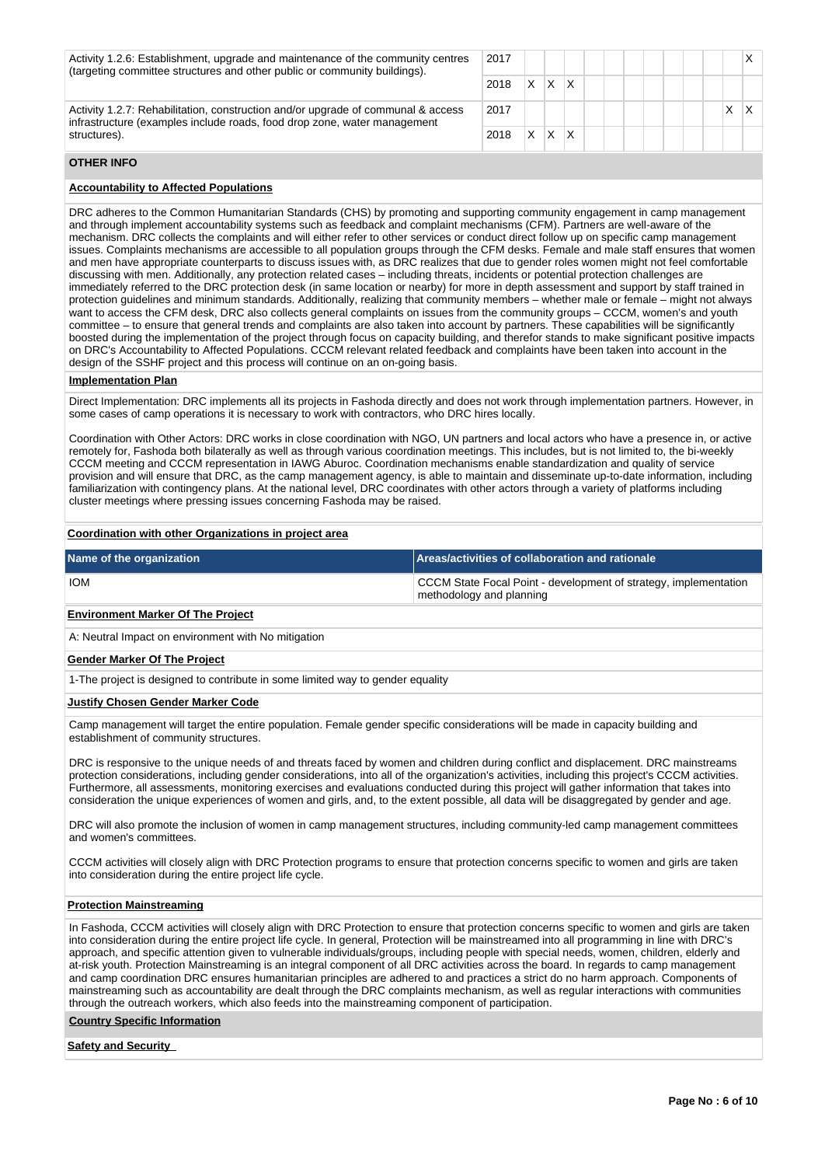| Activity 1.2.6: Establishment, upgrade and maintenance of the community centres<br>(targeting committee structures and other public or community buildings). | 2017 |   |   |  |  |  |  |   |  |
|--------------------------------------------------------------------------------------------------------------------------------------------------------------|------|---|---|--|--|--|--|---|--|
|                                                                                                                                                              | 2018 | x | x |  |  |  |  |   |  |
| Activity 1.2.7: Rehabilitation, construction and/or upgrade of communal & access<br>infrastructure (examples include roads, food drop zone, water management | 2017 |   |   |  |  |  |  | л |  |
| structures).                                                                                                                                                 | 2018 | x | x |  |  |  |  |   |  |
|                                                                                                                                                              |      |   |   |  |  |  |  |   |  |

# **OTHER INFO**

## **Accountability to Affected Populations**

DRC adheres to the Common Humanitarian Standards (CHS) by promoting and supporting community engagement in camp management and through implement accountability systems such as feedback and complaint mechanisms (CFM). Partners are well-aware of the mechanism. DRC collects the complaints and will either refer to other services or conduct direct follow up on specific camp management issues. Complaints mechanisms are accessible to all population groups through the CFM desks. Female and male staff ensures that women and men have appropriate counterparts to discuss issues with, as DRC realizes that due to gender roles women might not feel comfortable discussing with men. Additionally, any protection related cases – including threats, incidents or potential protection challenges are immediately referred to the DRC protection desk (in same location or nearby) for more in depth assessment and support by staff trained in protection guidelines and minimum standards. Additionally, realizing that community members – whether male or female – might not always want to access the CFM desk, DRC also collects general complaints on issues from the community groups – CCCM, women's and youth committee – to ensure that general trends and complaints are also taken into account by partners. These capabilities will be significantly boosted during the implementation of the project through focus on capacity building, and therefor stands to make significant positive impacts on DRC's Accountability to Affected Populations. CCCM relevant related feedback and complaints have been taken into account in the design of the SSHF project and this process will continue on an on-going basis.

#### **Implementation Plan**

Direct Implementation: DRC implements all its projects in Fashoda directly and does not work through implementation partners. However, in some cases of camp operations it is necessary to work with contractors, who DRC hires locally.

Coordination with Other Actors: DRC works in close coordination with NGO, UN partners and local actors who have a presence in, or active remotely for, Fashoda both bilaterally as well as through various coordination meetings. This includes, but is not limited to, the bi-weekly CCCM meeting and CCCM representation in IAWG Aburoc. Coordination mechanisms enable standardization and quality of service provision and will ensure that DRC, as the camp management agency, is able to maintain and disseminate up-to-date information, including familiarization with contingency plans. At the national level, DRC coordinates with other actors through a variety of platforms including cluster meetings where pressing issues concerning Fashoda may be raised.

#### **Coordination with other Organizations in project area**

| Name of the organization | Areas/activities of collaboration and rationale                                              |
|--------------------------|----------------------------------------------------------------------------------------------|
| <b>IOM</b>               | CCCM State Focal Point - development of strategy, implementation<br>methodology and planning |

# **Environment Marker Of The Project**

A: Neutral Impact on environment with No mitigation

### **Gender Marker Of The Project**

1-The project is designed to contribute in some limited way to gender equality

#### **Justify Chosen Gender Marker Code**

Camp management will target the entire population. Female gender specific considerations will be made in capacity building and establishment of community structures.

DRC is responsive to the unique needs of and threats faced by women and children during conflict and displacement. DRC mainstreams protection considerations, including gender considerations, into all of the organization's activities, including this project's CCCM activities. Furthermore, all assessments, monitoring exercises and evaluations conducted during this project will gather information that takes into consideration the unique experiences of women and girls, and, to the extent possible, all data will be disaggregated by gender and age.

DRC will also promote the inclusion of women in camp management structures, including community-led camp management committees and women's committees.

CCCM activities will closely align with DRC Protection programs to ensure that protection concerns specific to women and girls are taken into consideration during the entire project life cycle.

# **Protection Mainstreaming**

In Fashoda, CCCM activities will closely align with DRC Protection to ensure that protection concerns specific to women and girls are taken into consideration during the entire project life cycle. In general, Protection will be mainstreamed into all programming in line with DRC's approach, and specific attention given to vulnerable individuals/groups, including people with special needs, women, children, elderly and at-risk youth. Protection Mainstreaming is an integral component of all DRC activities across the board. In regards to camp management and camp coordination DRC ensures humanitarian principles are adhered to and practices a strict do no harm approach. Components of mainstreaming such as accountability are dealt through the DRC complaints mechanism, as well as regular interactions with communities through the outreach workers, which also feeds into the mainstreaming component of participation.

#### **Country Specific Information**

#### **Safety and Security**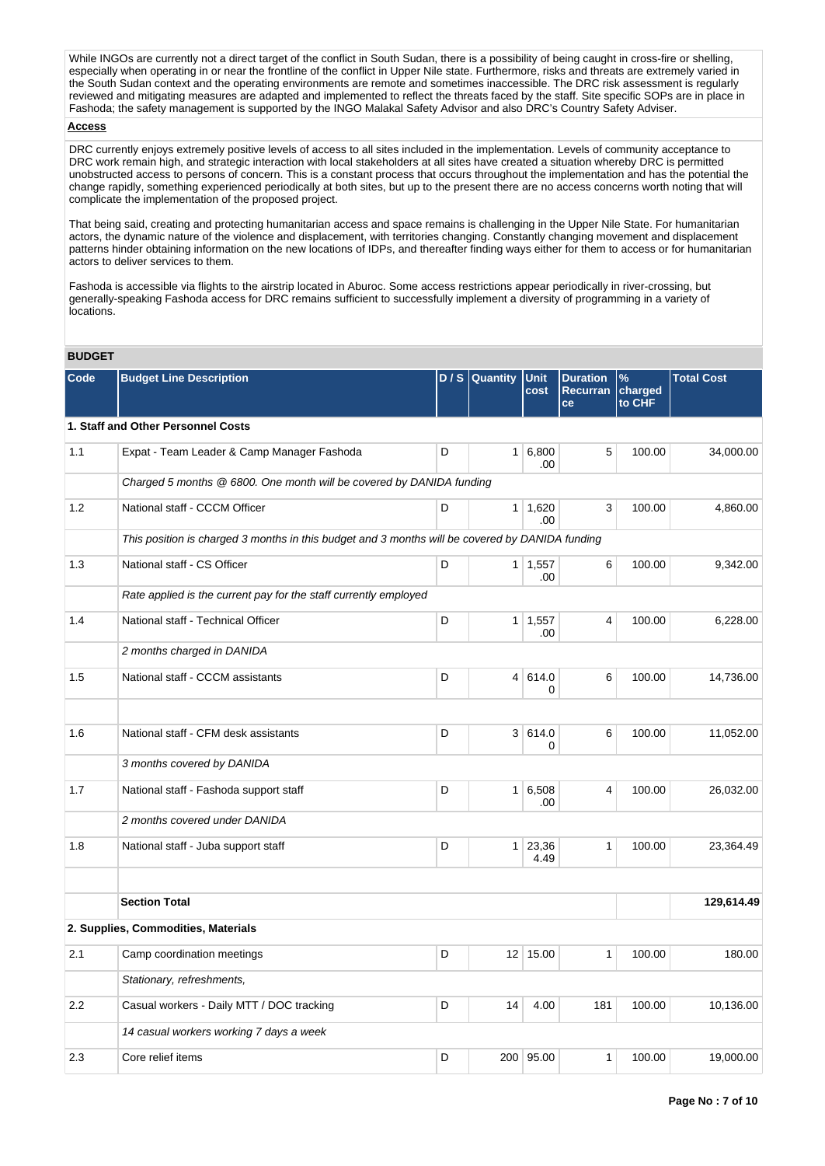While INGOs are currently not a direct target of the conflict in South Sudan, there is a possibility of being caught in cross-fire or shelling. especially when operating in or near the frontline of the conflict in Upper Nile state. Furthermore, risks and threats are extremely varied in the South Sudan context and the operating environments are remote and sometimes inaccessible. The DRC risk assessment is regularly reviewed and mitigating measures are adapted and implemented to reflect the threats faced by the staff. Site specific SOPs are in place in Fashoda; the safety management is supported by the INGO Malakal Safety Advisor and also DRC's Country Safety Adviser.

# **Access**

DRC currently enjoys extremely positive levels of access to all sites included in the implementation. Levels of community acceptance to DRC work remain high, and strategic interaction with local stakeholders at all sites have created a situation whereby DRC is permitted unobstructed access to persons of concern. This is a constant process that occurs throughout the implementation and has the potential the change rapidly, something experienced periodically at both sites, but up to the present there are no access concerns worth noting that will complicate the implementation of the proposed project.

That being said, creating and protecting humanitarian access and space remains is challenging in the Upper Nile State. For humanitarian actors, the dynamic nature of the violence and displacement, with territories changing. Constantly changing movement and displacement patterns hinder obtaining information on the new locations of IDPs, and thereafter finding ways either for them to access or for humanitarian actors to deliver services to them.

Fashoda is accessible via flights to the airstrip located in Aburoc. Some access restrictions appear periodically in river-crossing, but generally-speaking Fashoda access for DRC remains sufficient to successfully implement a diversity of programming in a variety of locations.

### **BUDGET**

| Code | <b>Budget Line Description</b>                                                                  | D/S | <b>Quantity</b> | Unit<br>cost          | <b>Duration</b><br><b>Recurran</b><br>ce | $\%$<br>charged<br>to CHF | <b>Total Cost</b> |
|------|-------------------------------------------------------------------------------------------------|-----|-----------------|-----------------------|------------------------------------------|---------------------------|-------------------|
|      | 1. Staff and Other Personnel Costs                                                              |     |                 |                       |                                          |                           |                   |
| 1.1  | Expat - Team Leader & Camp Manager Fashoda                                                      | D   |                 | 1 6,800<br>.00        | 5                                        | 100.00                    | 34,000.00         |
|      | Charged 5 months @ 6800. One month will be covered by DANIDA funding                            |     |                 |                       |                                          |                           |                   |
| 1.2  | National staff - CCCM Officer                                                                   | D   |                 | $1 \mid 1,620$<br>.00 | 3                                        | 100.00                    | 4,860.00          |
|      | This position is charged 3 months in this budget and 3 months will be covered by DANIDA funding |     |                 |                       |                                          |                           |                   |
| 1.3  | National staff - CS Officer                                                                     | D   |                 | $1 \mid 1,557$<br>.00 | 6                                        | 100.00                    | 9,342.00          |
|      | Rate applied is the current pay for the staff currently employed                                |     |                 |                       |                                          |                           |                   |
| 1.4  | National staff - Technical Officer                                                              | D   |                 | $1 \mid 1,557$<br>.00 | 4                                        | 100.00                    | 6,228.00          |
|      | 2 months charged in DANIDA                                                                      |     |                 |                       |                                          |                           |                   |
| 1.5  | National staff - CCCM assistants                                                                | D   |                 | 4 614.0<br>0          | 6                                        | 100.00                    | 14,736.00         |
|      |                                                                                                 |     |                 |                       |                                          |                           |                   |
| 1.6  | National staff - CFM desk assistants                                                            | D   |                 | 3 614.0<br>0          | 6                                        | 100.00                    | 11,052.00         |
|      | 3 months covered by DANIDA                                                                      |     |                 |                       |                                          |                           |                   |
| 1.7  | National staff - Fashoda support staff                                                          | D   |                 | $1 \ 6,508$<br>.00    | 4                                        | 100.00                    | 26,032.00         |
|      | 2 months covered under DANIDA                                                                   |     |                 |                       |                                          |                           |                   |
| 1.8  | National staff - Juba support staff                                                             | D   |                 | 1 23,36<br>4.49       | $\mathbf{1}$                             | 100.00                    | 23,364.49         |
|      |                                                                                                 |     |                 |                       |                                          |                           |                   |
|      | <b>Section Total</b>                                                                            |     |                 |                       |                                          |                           | 129,614.49        |
|      | 2. Supplies, Commodities, Materials                                                             |     |                 |                       |                                          |                           |                   |
| 2.1  | Camp coordination meetings                                                                      | D   |                 | 12 15.00              | $\mathbf{1}$                             | 100.00                    | 180.00            |
|      | Stationary, refreshments,                                                                       |     |                 |                       |                                          |                           |                   |
| 2.2  | Casual workers - Daily MTT / DOC tracking                                                       | D   | 14              | 4.00                  | 181                                      | 100.00                    | 10,136.00         |
|      | 14 casual workers working 7 days a week                                                         |     |                 |                       |                                          |                           |                   |
| 2.3  | Core relief items                                                                               | D   |                 | 200 95.00             | 1                                        | 100.00                    | 19,000.00         |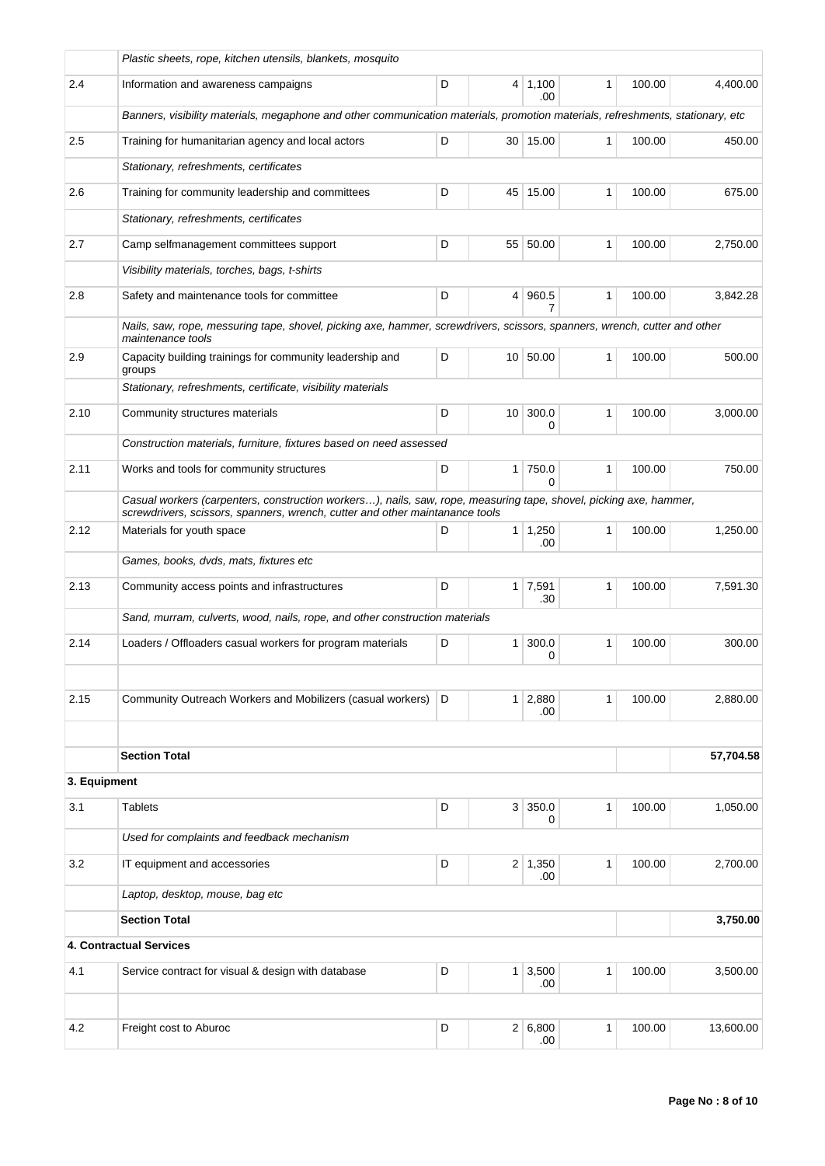|              | Plastic sheets, rope, kitchen utensils, blankets, mosquito                                                                                                                                        |   |                |                              |              |        |           |
|--------------|---------------------------------------------------------------------------------------------------------------------------------------------------------------------------------------------------|---|----------------|------------------------------|--------------|--------|-----------|
| 2.4          | Information and awareness campaigns                                                                                                                                                               | D |                | $4 \mid 1,100$<br>.00        | 1            | 100.00 | 4,400.00  |
|              | Banners, visibility materials, megaphone and other communication materials, promotion materials, refreshments, stationary, etc                                                                    |   |                |                              |              |        |           |
| 2.5          | Training for humanitarian agency and local actors                                                                                                                                                 | D |                | 30 15.00                     | 1            | 100.00 | 450.00    |
|              | Stationary, refreshments, certificates                                                                                                                                                            |   |                |                              |              |        |           |
| 2.6          | Training for community leadership and committees                                                                                                                                                  | D |                | 45 15.00                     | 1            | 100.00 | 675.00    |
|              | Stationary, refreshments, certificates                                                                                                                                                            |   |                |                              |              |        |           |
| 2.7          | Camp selfmanagement committees support                                                                                                                                                            | D |                | 55 50.00                     | $\mathbf{1}$ | 100.00 | 2,750.00  |
|              | Visibility materials, torches, bags, t-shirts                                                                                                                                                     |   |                |                              |              |        |           |
| 2.8          | D<br>960.5<br>$\mathbf{1}$<br>Safety and maintenance tools for committee<br>$\overline{4}$<br>7                                                                                                   |   |                |                              |              |        | 3,842.28  |
|              | Nails, saw, rope, messuring tape, shovel, picking axe, hammer, screwdrivers, scissors, spanners, wrench, cutter and other<br>maintenance tools                                                    |   |                |                              |              |        |           |
| 2.9          | Capacity building trainings for community leadership and<br>groups                                                                                                                                | D |                | 10 50.00                     | 1            | 100.00 | 500.00    |
|              | Stationary, refreshments, certificate, visibility materials                                                                                                                                       |   |                |                              |              |        |           |
| 2.10         | Community structures materials                                                                                                                                                                    | D |                | 10 300.0<br>0                | 1            | 100.00 | 3,000.00  |
|              | Construction materials, furniture, fixtures based on need assessed                                                                                                                                |   |                |                              |              |        |           |
| 2.11         | Works and tools for community structures                                                                                                                                                          | D |                | $1$ 750.0<br>$\Omega$        | $\mathbf{1}$ | 100.00 | 750.00    |
|              | Casual workers (carpenters, construction workers), nails, saw, rope, measuring tape, shovel, picking axe, hammer,<br>screwdrivers, scissors, spanners, wrench, cutter and other maintanance tools |   |                |                              |              |        |           |
| 2.12         | Materials for youth space                                                                                                                                                                         | D |                | $1 \mid 1,250$<br>.00        | $\mathbf{1}$ | 100.00 | 1,250.00  |
|              | Games, books, dvds, mats, fixtures etc                                                                                                                                                            |   |                |                              |              |        |           |
| 2.13         | Community access points and infrastructures                                                                                                                                                       | D |                | $1 \mid 7,591$<br>.30        | $\mathbf{1}$ | 100.00 | 7,591.30  |
|              | Sand, murram, culverts, wood, nails, rope, and other construction materials                                                                                                                       |   |                |                              |              |        |           |
| 2.14         | Loaders / Offloaders casual workers for program materials                                                                                                                                         | D | 1 <sup>1</sup> | 300.0<br>$\Omega$            | 1            | 100.00 | 300.00    |
|              |                                                                                                                                                                                                   |   |                |                              |              |        |           |
| 2.15         | Community Outreach Workers and Mobilizers (casual workers)                                                                                                                                        | D |                | $1 \overline{)2,880}$<br>.00 | 1            | 100.00 | 2,880.00  |
|              |                                                                                                                                                                                                   |   |                |                              |              |        |           |
|              | <b>Section Total</b>                                                                                                                                                                              |   |                |                              |              |        | 57,704.58 |
| 3. Equipment |                                                                                                                                                                                                   |   |                |                              |              |        |           |
| 3.1          | <b>Tablets</b>                                                                                                                                                                                    | D |                | 3 350.0<br>0                 | 1            | 100.00 | 1,050.00  |
|              | Used for complaints and feedback mechanism                                                                                                                                                        |   |                |                              |              |        |           |
| 3.2          | IT equipment and accessories                                                                                                                                                                      | D |                | $2 \mid 1,350$<br>.00        | $\mathbf{1}$ | 100.00 | 2,700.00  |
|              | Laptop, desktop, mouse, bag etc                                                                                                                                                                   |   |                |                              |              |        |           |
|              | <b>Section Total</b>                                                                                                                                                                              |   |                |                              |              |        | 3,750.00  |
|              | 4. Contractual Services                                                                                                                                                                           |   |                |                              |              |        |           |
| 4.1          | Service contract for visual & design with database                                                                                                                                                | D |                | $1 \mid 3,500$<br>.00        | 1            | 100.00 | 3,500.00  |
|              |                                                                                                                                                                                                   |   |                |                              |              |        |           |
| 4.2          | Freight cost to Aburoc                                                                                                                                                                            | D |                | 2 6,800<br>.00               | 1            | 100.00 | 13,600.00 |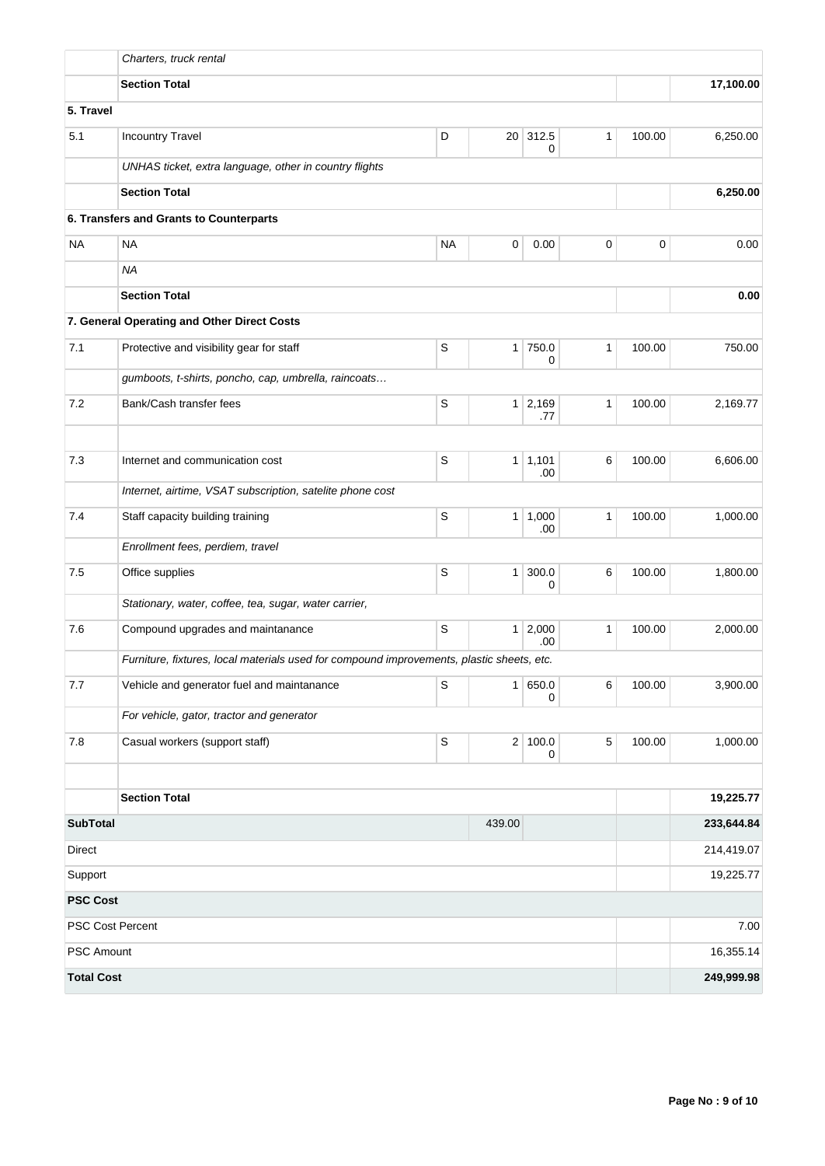|                                     | Charters, truck rental                                                                    |             |                 |                       |              |        |                         |
|-------------------------------------|-------------------------------------------------------------------------------------------|-------------|-----------------|-----------------------|--------------|--------|-------------------------|
|                                     | <b>Section Total</b>                                                                      |             | 17,100.00       |                       |              |        |                         |
| 5. Travel                           |                                                                                           |             |                 |                       |              |        |                         |
| 5.1                                 | <b>Incountry Travel</b>                                                                   | D           | 20 <sup>1</sup> | 312.5<br>0            | 1            | 100.00 | 6,250.00                |
|                                     | UNHAS ticket, extra language, other in country flights                                    |             |                 |                       |              |        |                         |
|                                     | <b>Section Total</b>                                                                      |             |                 |                       |              |        | 6,250.00                |
|                                     | 6. Transfers and Grants to Counterparts                                                   |             |                 |                       |              |        |                         |
| <b>NA</b>                           | <b>NA</b>                                                                                 | <b>NA</b>   | 0               | 0.00                  | 0            | 0      | 0.00                    |
|                                     | <b>NA</b>                                                                                 |             |                 |                       |              |        |                         |
| <b>Section Total</b>                |                                                                                           |             |                 |                       |              |        | 0.00                    |
|                                     | 7. General Operating and Other Direct Costs                                               |             |                 |                       |              |        |                         |
| 7.1                                 | Protective and visibility gear for staff                                                  | $\mathsf S$ | 1 <sup>1</sup>  | 750.0<br>0            | $\mathbf{1}$ | 100.00 | 750.00                  |
|                                     | gumboots, t-shirts, poncho, cap, umbrella, raincoats                                      |             |                 |                       |              |        |                         |
| 7.2                                 | Bank/Cash transfer fees                                                                   | S           | 1 <sup>1</sup>  | 2,169<br>.77          | $\mathbf{1}$ | 100.00 | 2,169.77                |
|                                     |                                                                                           |             |                 |                       |              |        |                         |
| 7.3                                 | Internet and communication cost                                                           | S           | 1 <sup>1</sup>  | 1,101<br>.00          | 6            | 100.00 | 6,606.00                |
|                                     | Internet, airtime, VSAT subscription, satelite phone cost                                 |             |                 |                       |              |        |                         |
| 7.4                                 | Staff capacity building training                                                          | S           |                 | $1 \mid 1,000$<br>.00 | 1            | 100.00 | 1,000.00                |
|                                     | Enrollment fees, perdiem, travel                                                          |             |                 |                       |              |        |                         |
| 7.5                                 | Office supplies                                                                           | S           | 1 <sup>1</sup>  | 300.0<br>0            | 6            | 100.00 | 1,800.00                |
|                                     | Stationary, water, coffee, tea, sugar, water carrier,                                     |             |                 |                       |              |        |                         |
| 7.6                                 | Compound upgrades and maintanance                                                         | S           | 1               | 2,000<br>.00          | $\mathbf{1}$ | 100.00 | 2,000.00                |
|                                     | Furniture, fixtures, local materials used for compound improvements, plastic sheets, etc. |             |                 |                       |              |        |                         |
| 7.7                                 | Vehicle and generator fuel and maintanance                                                | S           | 1               | 650.0<br>0            | 6            | 100.00 | 3,900.00                |
|                                     | For vehicle, gator, tractor and generator                                                 |             |                 |                       |              |        |                         |
| $7.8$                               | Casual workers (support staff)                                                            | $\mbox{S}$  | 2               | 100.0<br>0            | $\mathbf 5$  | 100.00 | 1,000.00                |
|                                     | <b>Section Total</b>                                                                      |             |                 |                       |              |        | 19,225.77               |
|                                     |                                                                                           |             |                 |                       |              |        |                         |
| <b>SubTotal</b><br>439.00<br>Direct |                                                                                           |             |                 |                       |              |        | 233,644.84              |
| Support                             |                                                                                           |             |                 |                       |              |        | 214,419.07<br>19,225.77 |
| <b>PSC Cost</b>                     |                                                                                           |             |                 |                       |              |        |                         |
|                                     | PSC Cost Percent                                                                          |             |                 |                       |              |        | 7.00                    |
| PSC Amount                          |                                                                                           |             |                 |                       |              |        | 16,355.14               |
| <b>Total Cost</b>                   |                                                                                           |             |                 |                       |              |        | 249,999.98              |